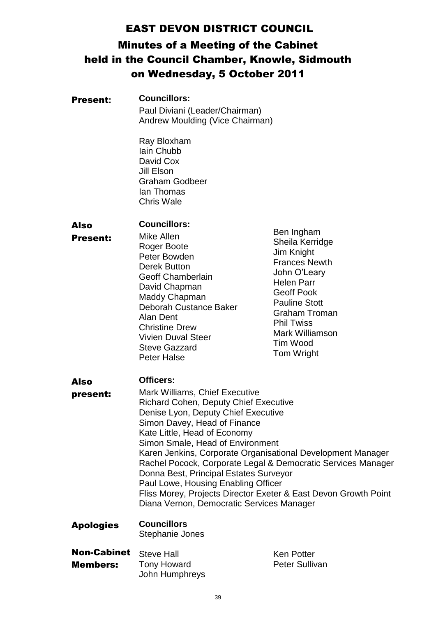# EAST DEVON DISTRICT COUNCIL

# Minutes of a Meeting of the Cabinet held in the Council Chamber, Knowle, Sidmouth on Wednesday, 5 October 2011

| <b>Present:</b>         | <b>Councillors:</b><br>Paul Diviani (Leader/Chairman)<br>Andrew Moulding (Vice Chairman)                                                                                                                                                                                                                                                                                                                                                                                                                                                                                             |                                                                                                                                                                                                                                                 |  |
|-------------------------|--------------------------------------------------------------------------------------------------------------------------------------------------------------------------------------------------------------------------------------------------------------------------------------------------------------------------------------------------------------------------------------------------------------------------------------------------------------------------------------------------------------------------------------------------------------------------------------|-------------------------------------------------------------------------------------------------------------------------------------------------------------------------------------------------------------------------------------------------|--|
|                         | Ray Bloxham<br>Iain Chubb<br>David Cox<br>Jill Elson<br><b>Graham Godbeer</b><br>lan Thomas<br><b>Chris Wale</b>                                                                                                                                                                                                                                                                                                                                                                                                                                                                     |                                                                                                                                                                                                                                                 |  |
| Also<br><b>Present:</b> | <b>Councillors:</b><br>Mike Allen<br>Roger Boote<br>Peter Bowden<br>Derek Button<br><b>Geoff Chamberlain</b><br>David Chapman<br>Maddy Chapman<br>Deborah Custance Baker<br>Alan Dent<br><b>Christine Drew</b><br><b>Vivien Duval Steer</b><br><b>Steve Gazzard</b><br><b>Peter Halse</b>                                                                                                                                                                                                                                                                                            | Ben Ingham<br>Sheila Kerridge<br>Jim Knight<br><b>Frances Newth</b><br>John O'Leary<br><b>Helen Parr</b><br><b>Geoff Pook</b><br><b>Pauline Stott</b><br><b>Graham Troman</b><br><b>Phil Twiss</b><br>Mark Williamson<br>Tim Wood<br>Tom Wright |  |
| Also<br>present:        | <b>Officers:</b><br><b>Mark Williams, Chief Executive</b><br><b>Richard Cohen, Deputy Chief Executive</b><br>Denise Lyon, Deputy Chief Executive<br>Simon Davey, Head of Finance<br>Kate Little, Head of Economy<br>Simon Smale, Head of Environment<br>Karen Jenkins, Corporate Organisational Development Manager<br>Rachel Pocock, Corporate Legal & Democratic Services Manager<br>Donna Best, Principal Estates Surveyor<br>Paul Lowe, Housing Enabling Officer<br>Fliss Morey, Projects Director Exeter & East Devon Growth Point<br>Diana Vernon, Democratic Services Manager |                                                                                                                                                                                                                                                 |  |
| <b>Apologies</b>        | <b>Councillors</b><br>Stephanie Jones                                                                                                                                                                                                                                                                                                                                                                                                                                                                                                                                                |                                                                                                                                                                                                                                                 |  |
| <b>Non-Cabinet</b>      | <b>Steve Hall</b>                                                                                                                                                                                                                                                                                                                                                                                                                                                                                                                                                                    | <b>Ken Potter</b>                                                                                                                                                                                                                               |  |

Members: Steve Hall Tony Howard John Humphreys Ken Potter Peter Sullivan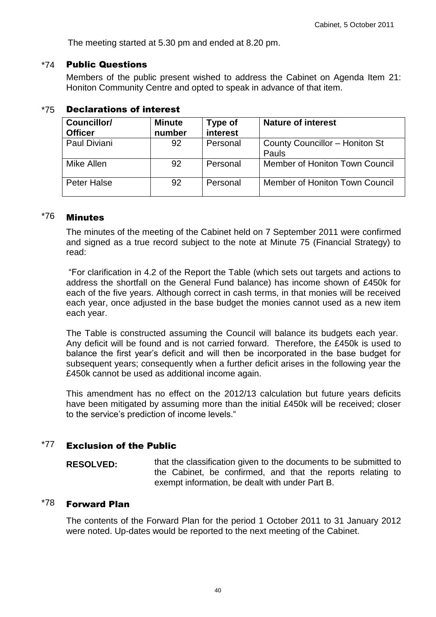The meeting started at 5.30 pm and ended at 8.20 pm.

#### \*74 Public Questions

Members of the public present wished to address the Cabinet on Agenda Item 21: Honiton Community Centre and opted to speak in advance of that item.

| Councillor/<br><b>Officer</b> | <b>Minute</b><br>number | <b>Type of</b><br>interest | <b>Nature of interest</b>               |
|-------------------------------|-------------------------|----------------------------|-----------------------------------------|
| Paul Diviani                  | 92                      | Personal                   | County Councillor - Honiton St<br>Pauls |
| Mike Allen                    | 92                      | Personal                   | Member of Honiton Town Council          |
| Peter Halse                   | 92                      | Personal                   | Member of Honiton Town Council          |

#### \*75 Declarations of interest

# \*76 Minutes

The minutes of the meeting of the Cabinet held on 7 September 2011 were confirmed and signed as a true record subject to the note at Minute 75 (Financial Strategy) to read:

"For clarification in 4.2 of the Report the Table (which sets out targets and actions to address the shortfall on the General Fund balance) has income shown of £450k for each of the five years. Although correct in cash terms, in that monies will be received each year, once adjusted in the base budget the monies cannot used as a new item each year.

The Table is constructed assuming the Council will balance its budgets each year. Any deficit will be found and is not carried forward. Therefore, the £450k is used to balance the first year's deficit and will then be incorporated in the base budget for subsequent years; consequently when a further deficit arises in the following year the £450k cannot be used as additional income again.

This amendment has no effect on the 2012/13 calculation but future years deficits have been mitigated by assuming more than the initial £450k will be received; closer to the service's prediction of income levels."

#### $*77$  Exclusion of the Public

**RESOLVED:** that the classification given to the documents to be submitted to the Cabinet, be confirmed, and that the reports relating to exempt information, be dealt with under Part B.

# \*78 Forward Plan

The contents of the Forward Plan for the period 1 October 2011 to 31 January 2012 were noted. Up-dates would be reported to the next meeting of the Cabinet.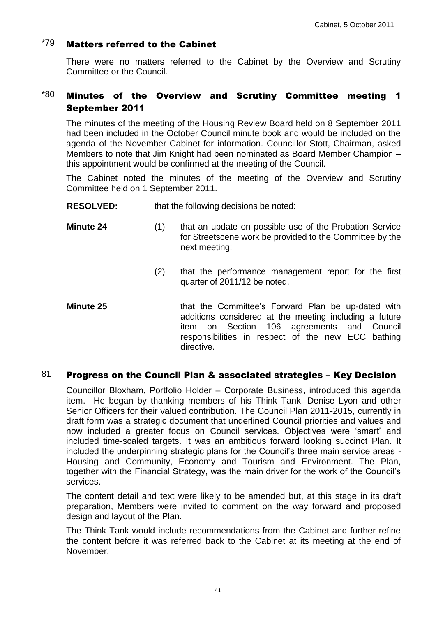# $*79$  Matters referred to the Cabinet

There were no matters referred to the Cabinet by the Overview and Scrutiny Committee or the Council.

# $*80$  Minutes of the Overview and Scrutiny Committee meeting 1 September 2011

The minutes of the meeting of the Housing Review Board held on 8 September 2011 had been included in the October Council minute book and would be included on the agenda of the November Cabinet for information. Councillor Stott, Chairman, asked Members to note that Jim Knight had been nominated as Board Member Champion – this appointment would be confirmed at the meeting of the Council.

The Cabinet noted the minutes of the meeting of the Overview and Scrutiny Committee held on 1 September 2011.

#### **RESOLVED:** that the following decisions be noted:

- **Minute 24** (1) that an update on possible use of the Probation Service for Streetscene work be provided to the Committee by the next meeting;
	- (2) that the performance management report for the first quarter of 2011/12 be noted.
- **Minute 25** that the Committee's Forward Plan be up-dated with additions considered at the meeting including a future item on Section 106 agreements and Council responsibilities in respect of the new ECC bathing directive.

# 81 Progress on the Council Plan & associated strategies – Key Decision

Councillor Bloxham, Portfolio Holder – Corporate Business, introduced this agenda item. He began by thanking members of his Think Tank, Denise Lyon and other Senior Officers for their valued contribution. The Council Plan 2011-2015, currently in draft form was a strategic document that underlined Council priorities and values and now included a greater focus on Council services. Objectives were 'smart' and included time-scaled targets. It was an ambitious forward looking succinct Plan. It included the underpinning strategic plans for the Council's three main service areas - Housing and Community, Economy and Tourism and Environment. The Plan, together with the Financial Strategy, was the main driver for the work of the Council's services.

The content detail and text were likely to be amended but, at this stage in its draft preparation, Members were invited to comment on the way forward and proposed design and layout of the Plan.

The Think Tank would include recommendations from the Cabinet and further refine the content before it was referred back to the Cabinet at its meeting at the end of November.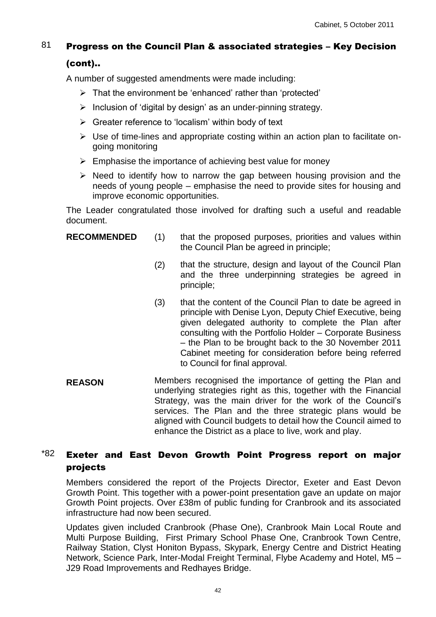# 81 Progress on the Council Plan & associated strategies – Key Decision

### (cont)..

A number of suggested amendments were made including:

- $\triangleright$  That the environment be 'enhanced' rather than 'protected'
- $\triangleright$  Inclusion of 'digital by design' as an under-pinning strategy.
- $\triangleright$  Greater reference to 'localism' within body of text
- $\triangleright$  Use of time-lines and appropriate costing within an action plan to facilitate ongoing monitoring
- $\triangleright$  Emphasise the importance of achieving best value for money
- $\triangleright$  Need to identify how to narrow the gap between housing provision and the needs of young people – emphasise the need to provide sites for housing and improve economic opportunities.

The Leader congratulated those involved for drafting such a useful and readable document.

- 
- **RECOMMENDED** (1) that the proposed purposes, priorities and values within the Council Plan be agreed in principle;
	- (2) that the structure, design and layout of the Council Plan and the three underpinning strategies be agreed in principle;
	- (3) that the content of the Council Plan to date be agreed in principle with Denise Lyon, Deputy Chief Executive, being given delegated authority to complete the Plan after consulting with the Portfolio Holder – Corporate Business – the Plan to be brought back to the 30 November 2011 Cabinet meeting for consideration before being referred to Council for final approval.
- **REASON** Members recognised the importance of getting the Plan and underlying strategies right as this, together with the Financial Strategy, was the main driver for the work of the Council's services. The Plan and the three strategic plans would be aligned with Council budgets to detail how the Council aimed to enhance the District as a place to live, work and play.

# $*82$  Exeter and East Devon Growth Point Progress report on major projects

Members considered the report of the Projects Director, Exeter and East Devon Growth Point. This together with a power-point presentation gave an update on major Growth Point projects. Over £38m of public funding for Cranbrook and its associated infrastructure had now been secured.

Updates given included Cranbrook (Phase One), Cranbrook Main Local Route and Multi Purpose Building, First Primary School Phase One, Cranbrook Town Centre, Railway Station, Clyst Honiton Bypass, Skypark, Energy Centre and District Heating Network, Science Park, Inter-Modal Freight Terminal, Flybe Academy and Hotel, M5 – J29 Road Improvements and Redhayes Bridge.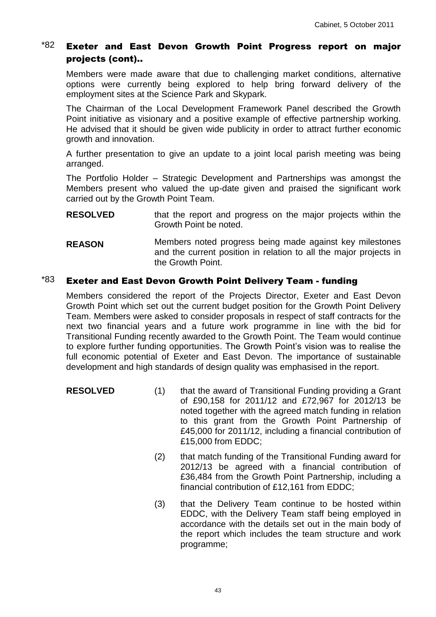# $*82$  Exeter and East Devon Growth Point Progress report on major projects (cont)..

Members were made aware that due to challenging market conditions, alternative options were currently being explored to help bring forward delivery of the employment sites at the Science Park and Skypark.

The Chairman of the Local Development Framework Panel described the Growth Point initiative as visionary and a positive example of effective partnership working. He advised that it should be given wide publicity in order to attract further economic growth and innovation.

A further presentation to give an update to a joint local parish meeting was being arranged.

The Portfolio Holder – Strategic Development and Partnerships was amongst the Members present who valued the up-date given and praised the significant work carried out by the Growth Point Team.

- **RESOLVED** that the report and progress on the major projects within the Growth Point be noted.
- **REASON** Members noted progress being made against key milestones and the current position in relation to all the major projects in the Growth Point.

## $*83$  Exeter and East Devon Growth Point Delivery Team - funding

Members considered the report of the Projects Director, Exeter and East Devon Growth Point which set out the current budget position for the Growth Point Delivery Team. Members were asked to consider proposals in respect of staff contracts for the next two financial years and a future work programme in line with the bid for Transitional Funding recently awarded to the Growth Point. The Team would continue to explore further funding opportunities. The Growth Point's vision was to realise the full economic potential of Exeter and East Devon. The importance of sustainable development and high standards of design quality was emphasised in the report.

- **RESOLVED** (1) that the award of Transitional Funding providing a Grant of £90,158 for 2011/12 and £72,967 for 2012/13 be noted together with the agreed match funding in relation to this grant from the Growth Point Partnership of £45,000 for 2011/12, including a financial contribution of £15,000 from EDDC;
	- (2) that match funding of the Transitional Funding award for 2012/13 be agreed with a financial contribution of £36,484 from the Growth Point Partnership, including a financial contribution of £12,161 from EDDC;
	- (3) that the Delivery Team continue to be hosted within EDDC, with the Delivery Team staff being employed in accordance with the details set out in the main body of the report which includes the team structure and work programme;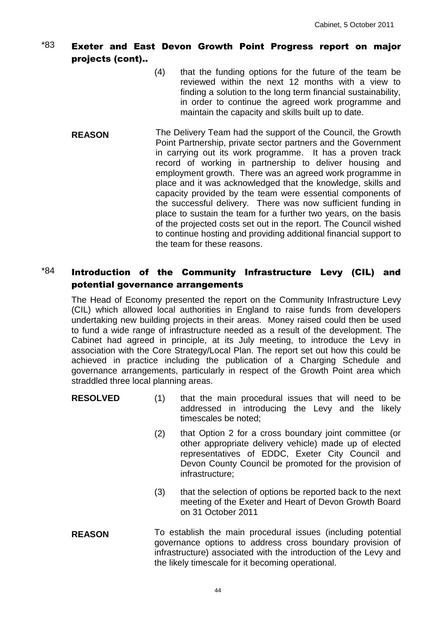# $*83$  Exeter and East Devon Growth Point Progress report on major projects (cont)..

- (4) that the funding options for the future of the team be reviewed within the next 12 months with a view to finding a solution to the long term financial sustainability, in order to continue the agreed work programme and maintain the capacity and skills built up to date.
- **REASON** The Delivery Team had the support of the Council, the Growth Point Partnership, private sector partners and the Government in carrying out its work programme. It has a proven track record of working in partnership to deliver housing and employment growth. There was an agreed work programme in place and it was acknowledged that the knowledge, skills and capacity provided by the team were essential components of the successful delivery. There was now sufficient funding in place to sustain the team for a further two years, on the basis of the projected costs set out in the report. The Council wished to continue hosting and providing additional financial support to the team for these reasons.

# $*84$  Introduction of the Community Infrastructure Levy (CIL) and potential governance arrangements

The Head of Economy presented the report on the Community Infrastructure Levy (CIL) which allowed local authorities in England to raise funds from developers undertaking new building projects in their areas. Money raised could then be used to fund a wide range of infrastructure needed as a result of the development. The Cabinet had agreed in principle, at its July meeting, to introduce the Levy in association with the Core Strategy/Local Plan. The report set out how this could be achieved in practice including the publication of a Charging Schedule and governance arrangements, particularly in respect of the Growth Point area which straddled three local planning areas.

- **RESOLVED** (1) that the main procedural issues that will need to be addressed in introducing the Levy and the likely timescales be noted;
	- (2) that Option 2 for a cross boundary joint committee (or other appropriate delivery vehicle) made up of elected representatives of EDDC, Exeter City Council and Devon County Council be promoted for the provision of infrastructure;
	- (3) that the selection of options be reported back to the next meeting of the Exeter and Heart of Devon Growth Board on 31 October 2011
- **REASON** To establish the main procedural issues (including potential governance options to address cross boundary provision of infrastructure) associated with the introduction of the Levy and the likely timescale for it becoming operational.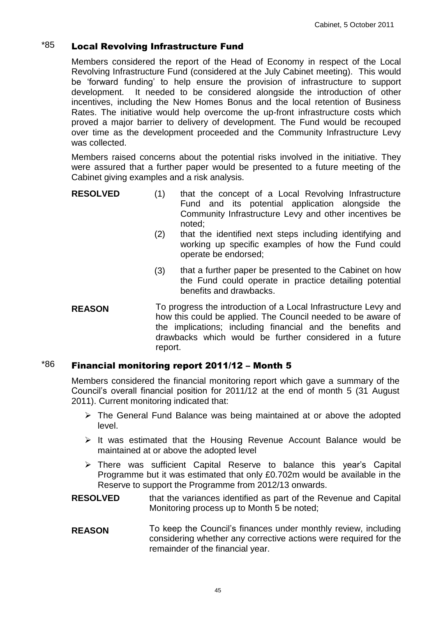# $*85$  Local Revolving Infrastructure Fund

Members considered the report of the Head of Economy in respect of the Local Revolving Infrastructure Fund (considered at the July Cabinet meeting). This would be 'forward funding' to help ensure the provision of infrastructure to support development. It needed to be considered alongside the introduction of other incentives, including the New Homes Bonus and the local retention of Business Rates. The initiative would help overcome the up-front infrastructure costs which proved a major barrier to delivery of development. The Fund would be recouped over time as the development proceeded and the Community Infrastructure Levy was collected.

Members raised concerns about the potential risks involved in the initiative. They were assured that a further paper would be presented to a future meeting of the Cabinet giving examples and a risk analysis.

| <b>RESOLVED</b> | that the concept of a Local Revolving Infrastructure  |
|-----------------|-------------------------------------------------------|
|                 | Fund and its potential application alongside the      |
|                 | Community Infrastructure Levy and other incentives be |
|                 | noted:                                                |

- (2) that the identified next steps including identifying and working up specific examples of how the Fund could operate be endorsed;
- (3) that a further paper be presented to the Cabinet on how the Fund could operate in practice detailing potential benefits and drawbacks.
- **REASON** To progress the introduction of a Local Infrastructure Levy and how this could be applied. The Council needed to be aware of the implications; including financial and the benefits and drawbacks which would be further considered in a future report.

#### $186$  Financial monitoring report 2011/12 – Month 5

Members considered the financial monitoring report which gave a summary of the Council's overall financial position for 2011/12 at the end of month 5 (31 August 2011). Current monitoring indicated that:

- $\triangleright$  The General Fund Balance was being maintained at or above the adopted level.
- $\triangleright$  It was estimated that the Housing Revenue Account Balance would be maintained at or above the adopted level
- There was sufficient Capital Reserve to balance this year's Capital Programme but it was estimated that only £0.702m would be available in the Reserve to support the Programme from 2012/13 onwards.
- **RESOLVED** that the variances identified as part of the Revenue and Capital Monitoring process up to Month 5 be noted;
- **REASON** To keep the Council's finances under monthly review, including considering whether any corrective actions were required for the remainder of the financial year.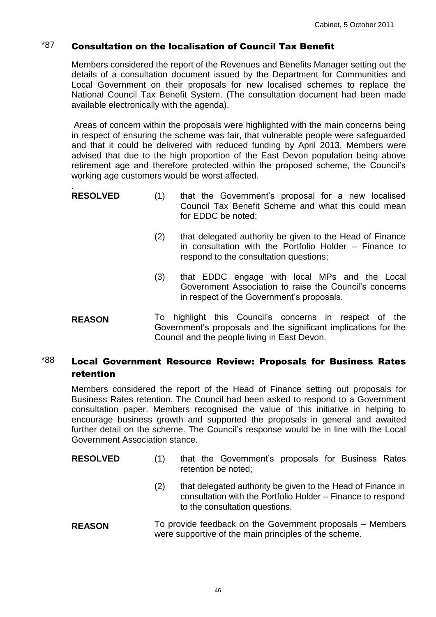# $i$ <sup>87</sup> Consultation on the localisation of Council Tax Benefit

Members considered the report of the Revenues and Benefits Manager setting out the details of a consultation document issued by the Department for Communities and Local Government on their proposals for new localised schemes to replace the National Council Tax Benefit System. (The consultation document had been made available electronically with the agenda).

Areas of concern within the proposals were highlighted with the main concerns being in respect of ensuring the scheme was fair, that vulnerable people were safeguarded and that it could be delivered with reduced funding by April 2013. Members were advised that due to the high proportion of the East Devon population being above retirement age and therefore protected within the proposed scheme, the Council's working age customers would be worst affected.

- . **RESOLVED** (1) that the Government's proposal for a new localised Council Tax Benefit Scheme and what this could mean for EDDC be noted;
	- (2) that delegated authority be given to the Head of Finance in consultation with the Portfolio Holder – Finance to respond to the consultation questions;
	- (3) that EDDC engage with local MPs and the Local Government Association to raise the Council's concerns in respect of the Government's proposals.
- **REASON** To highlight this Council's concerns in respect of the Government's proposals and the significant implications for the Council and the people living in East Devon.

# $*88$  Local Government Resource Review: Proposals for Business Rates retention

Members considered the report of the Head of Finance setting out proposals for Business Rates retention. The Council had been asked to respond to a Government consultation paper. Members recognised the value of this initiative in helping to encourage business growth and supported the proposals in general and awaited further detail on the scheme. The Council's response would be in line with the Local Government Association stance.

- **RESOLVED** (1) that the Government's proposals for Business Rates retention be noted;
	- (2) that delegated authority be given to the Head of Finance in consultation with the Portfolio Holder – Finance to respond to the consultation questions.
- **REASON** To provide feedback on the Government proposals Members were supportive of the main principles of the scheme.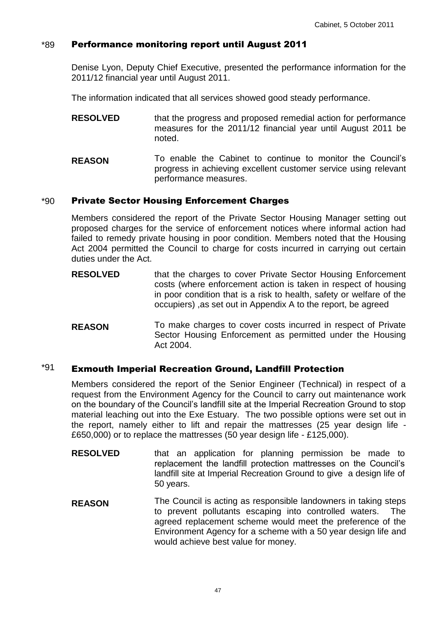#### \*89 Performance monitoring report until August 2011

Denise Lyon, Deputy Chief Executive, presented the performance information for the 2011/12 financial year until August 2011.

The information indicated that all services showed good steady performance.

- **RESOLVED** that the progress and proposed remedial action for performance measures for the 2011/12 financial year until August 2011 be noted.
- **REASON** To enable the Cabinet to continue to monitor the Council's progress in achieving excellent customer service using relevant performance measures.

#### \*90 Private Sector Housing Enforcement Charges

Members considered the report of the Private Sector Housing Manager setting out proposed charges for the service of enforcement notices where informal action had failed to remedy private housing in poor condition. Members noted that the Housing Act 2004 permitted the Council to charge for costs incurred in carrying out certain duties under the Act.

- **RESOLVED** that the charges to cover Private Sector Housing Enforcement costs (where enforcement action is taken in respect of housing in poor condition that is a risk to health, safety or welfare of the occupiers) ,as set out in Appendix A to the report, be agreed
- **REASON** To make charges to cover costs incurred in respect of Private Sector Housing Enforcement as permitted under the Housing Act 2004.

### $*91$  Exmouth Imperial Recreation Ground, Landfill Protection

Members considered the report of the Senior Engineer (Technical) in respect of a request from the Environment Agency for the Council to carry out maintenance work on the boundary of the Council's landfill site at the Imperial Recreation Ground to stop material leaching out into the Exe Estuary. The two possible options were set out in the report, namely either to lift and repair the mattresses (25 year design life - £650,000) or to replace the mattresses (50 year design life - £125,000).

- **RESOLVED** that an application for planning permission be made to replacement the landfill protection mattresses on the Council's landfill site at Imperial Recreation Ground to give a design life of 50 years.
- **REASON** The Council is acting as responsible landowners in taking steps<br>to prevent pollutants escaping into controlled waters. The to prevent pollutants escaping into controlled waters. agreed replacement scheme would meet the preference of the Environment Agency for a scheme with a 50 year design life and would achieve best value for money.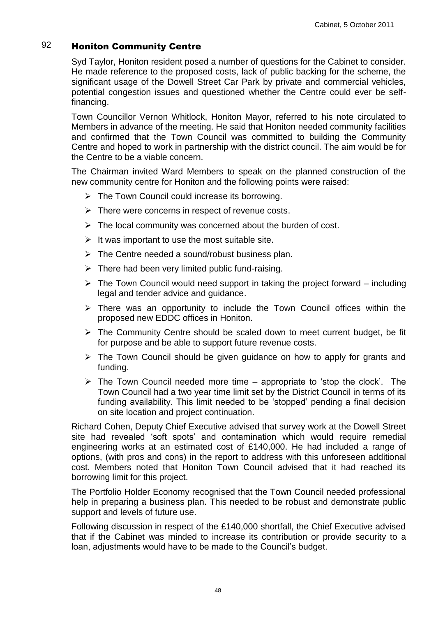# 92 Honiton Community Centre

Syd Taylor, Honiton resident posed a number of questions for the Cabinet to consider. He made reference to the proposed costs, lack of public backing for the scheme, the significant usage of the Dowell Street Car Park by private and commercial vehicles, potential congestion issues and questioned whether the Centre could ever be selffinancing.

Town Councillor Vernon Whitlock, Honiton Mayor, referred to his note circulated to Members in advance of the meeting. He said that Honiton needed community facilities and confirmed that the Town Council was committed to building the Community Centre and hoped to work in partnership with the district council. The aim would be for the Centre to be a viable concern.

The Chairman invited Ward Members to speak on the planned construction of the new community centre for Honiton and the following points were raised:

- $\triangleright$  The Town Council could increase its borrowing.
- $\triangleright$  There were concerns in respect of revenue costs.
- $\triangleright$  The local community was concerned about the burden of cost.
- $\triangleright$  It was important to use the most suitable site.
- $\triangleright$  The Centre needed a sound/robust business plan.
- $\triangleright$  There had been very limited public fund-raising.
- $\triangleright$  The Town Council would need support in taking the project forward including legal and tender advice and guidance.
- $\triangleright$  There was an opportunity to include the Town Council offices within the proposed new EDDC offices in Honiton.
- $\triangleright$  The Community Centre should be scaled down to meet current budget, be fit for purpose and be able to support future revenue costs.
- $\triangleright$  The Town Council should be given guidance on how to apply for grants and funding.
- $\triangleright$  The Town Council needed more time appropriate to 'stop the clock'. The Town Council had a two year time limit set by the District Council in terms of its funding availability. This limit needed to be 'stopped' pending a final decision on site location and project continuation.

Richard Cohen, Deputy Chief Executive advised that survey work at the Dowell Street site had revealed 'soft spots' and contamination which would require remedial engineering works at an estimated cost of £140,000. He had included a range of options, (with pros and cons) in the report to address with this unforeseen additional cost. Members noted that Honiton Town Council advised that it had reached its borrowing limit for this project.

The Portfolio Holder Economy recognised that the Town Council needed professional help in preparing a business plan. This needed to be robust and demonstrate public support and levels of future use.

Following discussion in respect of the £140,000 shortfall, the Chief Executive advised that if the Cabinet was minded to increase its contribution or provide security to a loan, adjustments would have to be made to the Council's budget.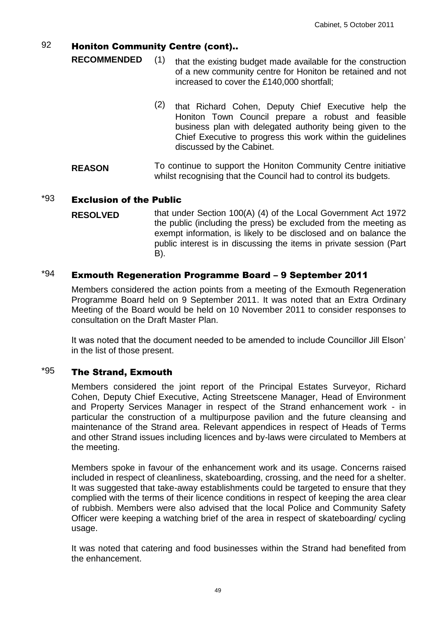## 92 Honiton Community Centre (cont)..

- **RECOMMENDED** (1) that the existing budget made available for the construction of a new community centre for Honiton be retained and not increased to cover the £140,000 shortfall;
	- (2) that Richard Cohen, Deputy Chief Executive help the Honiton Town Council prepare a robust and feasible business plan with delegated authority being given to the Chief Executive to progress this work within the guidelines discussed by the Cabinet.
- **REASON** To continue to support the Honiton Community Centre initiative whilst recognising that the Council had to control its budgets.

#### $*93$  Exclusion of the Public

**RESOLVED** that under Section 100(A) (4) of the Local Government Act 1972 the public (including the press) be excluded from the meeting as exempt information, is likely to be disclosed and on balance the public interest is in discussing the items in private session (Part B).

### $*94$  Exmouth Regeneration Programme Board - 9 September 2011

Members considered the action points from a meeting of the Exmouth Regeneration Programme Board held on 9 September 2011. It was noted that an Extra Ordinary Meeting of the Board would be held on 10 November 2011 to consider responses to consultation on the Draft Master Plan.

It was noted that the document needed to be amended to include Councillor Jill Elson' in the list of those present.

#### $*95$  The Strand, Exmouth

Members considered the joint report of the Principal Estates Surveyor, Richard Cohen, Deputy Chief Executive, Acting Streetscene Manager, Head of Environment and Property Services Manager in respect of the Strand enhancement work - in particular the construction of a multipurpose pavilion and the future cleansing and maintenance of the Strand area. Relevant appendices in respect of Heads of Terms and other Strand issues including licences and by-laws were circulated to Members at the meeting.

Members spoke in favour of the enhancement work and its usage. Concerns raised included in respect of cleanliness, skateboarding, crossing, and the need for a shelter. It was suggested that take-away establishments could be targeted to ensure that they complied with the terms of their licence conditions in respect of keeping the area clear of rubbish. Members were also advised that the local Police and Community Safety Officer were keeping a watching brief of the area in respect of skateboarding/ cycling usage.

It was noted that catering and food businesses within the Strand had benefited from the enhancement.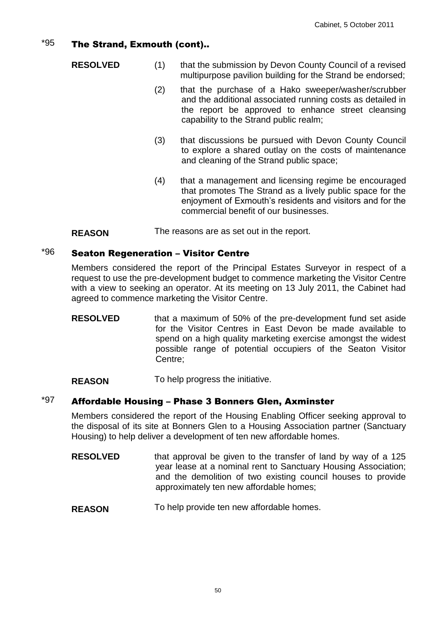### $*95$  The Strand, Exmouth (cont)..

- **RESOLVED** (1) that the submission by Devon County Council of a revised multipurpose pavilion building for the Strand be endorsed;
	- (2) that the purchase of a Hako sweeper/washer/scrubber and the additional associated running costs as detailed in the report be approved to enhance street cleansing capability to the Strand public realm;
	- (3) that discussions be pursued with Devon County Council to explore a shared outlay on the costs of maintenance and cleaning of the Strand public space;
	- (4) that a management and licensing regime be encouraged that promotes The Strand as a lively public space for the enjoyment of Exmouth's residents and visitors and for the commercial benefit of our businesses.

**REASON** The reasons are as set out in the report.

### $*96$  Seaton Regeneration – Visitor Centre

Members considered the report of the Principal Estates Surveyor in respect of a request to use the pre-development budget to commence marketing the Visitor Centre with a view to seeking an operator. At its meeting on 13 July 2011, the Cabinet had agreed to commence marketing the Visitor Centre.

**RESOLVED** that a maximum of 50% of the pre-development fund set aside for the Visitor Centres in East Devon be made available to spend on a high quality marketing exercise amongst the widest possible range of potential occupiers of the Seaton Visitor Centre;

**REASON** To help progress the initiative.

# $*97$  Affordable Housing – Phase 3 Bonners Glen, Axminster

Members considered the report of the Housing Enabling Officer seeking approval to the disposal of its site at Bonners Glen to a Housing Association partner (Sanctuary Housing) to help deliver a development of ten new affordable homes.

- **RESOLVED** that approval be given to the transfer of land by way of a 125 year lease at a nominal rent to Sanctuary Housing Association; and the demolition of two existing council houses to provide approximately ten new affordable homes;
- **REASON** To help provide ten new affordable homes.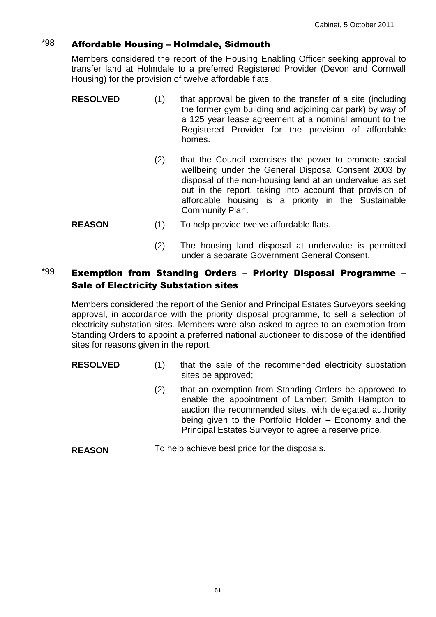# $*98$  Affordable Housing – Holmdale, Sidmouth

Members considered the report of the Housing Enabling Officer seeking approval to transfer land at Holmdale to a preferred Registered Provider (Devon and Cornwall Housing) for the provision of twelve affordable flats.

- **RESOLVED** (1) that approval be given to the transfer of a site (including the former gym building and adjoining car park) by way of a 125 year lease agreement at a nominal amount to the Registered Provider for the provision of affordable homes.
	- (2) that the Council exercises the power to promote social wellbeing under the General Disposal Consent 2003 by disposal of the non-housing land at an undervalue as set out in the report, taking into account that provision of affordable housing is a priority in the Sustainable Community Plan.
- **REASON** (1) To help provide twelve affordable flats.
	- (2) The housing land disposal at undervalue is permitted under a separate Government General Consent.

# $*99$  Exemption from Standing Orders - Priority Disposal Programme -Sale of Electricity Substation sites

Members considered the report of the Senior and Principal Estates Surveyors seeking approval, in accordance with the priority disposal programme, to sell a selection of electricity substation sites. Members were also asked to agree to an exemption from Standing Orders to appoint a preferred national auctioneer to dispose of the identified sites for reasons given in the report.

- **RESOLVED** (1) that the sale of the recommended electricity substation sites be approved;
	- (2) that an exemption from Standing Orders be approved to enable the appointment of Lambert Smith Hampton to auction the recommended sites, with delegated authority being given to the Portfolio Holder – Economy and the Principal Estates Surveyor to agree a reserve price.
- **REASON** To help achieve best price for the disposals.